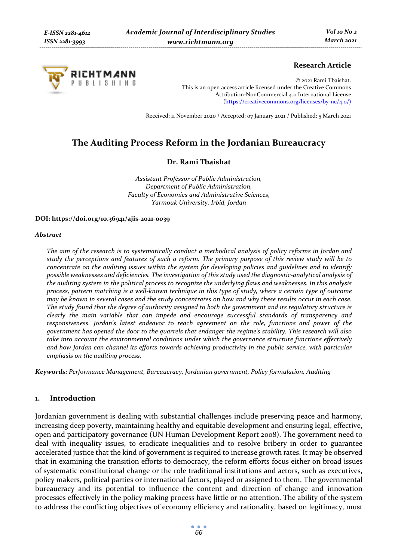

## **Research Article**

© 2021 Rami Tbaishat. This is an open access article licensed under the Creative Commons Attribution-NonCommercial 4.0 International License (https://creativecommons.org/licenses/by-nc/4.0/)

Received: 11 November 2020 / Accepted: 07 January 2021 / Published: 5 March 2021

# **The Auditing Process Reform in the Jordanian Bureaucracy**

### **Dr. Rami Tbaishat**

*Assistant Professor of Public Administration, Department of Public Administration, Faculty of Economics and Administrative Sciences, Yarmouk University, Irbid, Jordan* 

### **DOI: https://doi.org/10.36941/ajis-2021-0039**

#### *Abstract*

*The aim of the research is to systematically conduct a methodical analysis of policy reforms in Jordan and study the perceptions and features of such a reform. The primary purpose of this review study will be to concentrate on the auditing issues within the system for developing policies and guidelines and to identify possible weaknesses and deficiencies. The investigation of this study used the diagnostic-analytical analysis of the auditing system in the political process to recognize the underlying flaws and weaknesses. In this analysis process, pattern matching is a well-known technique in this type of study, where a certain type of outcome may be known in several cases and the study concentrates on how and why these results occur in each case. The study found that the degree of authority assigned to both the government and its regulatory structure is clearly the main variable that can impede and encourage successful standards of transparency and responsiveness. Jordan's latest endeavor to reach agreement on the role, functions and power of the government has opened the door to the quarrels that endanger the regime's stability. This research will also take into account the environmental conditions under which the governance structure functions effectively and how Jordan can channel its efforts towards achieving productivity in the public service, with particular emphasis on the auditing process.* 

*Keywords: Performance Management, Bureaucracy, Jordanian government, Policy formulation, Auditing* 

## **1. Introduction**

Jordanian government is dealing with substantial challenges include preserving peace and harmony, increasing deep poverty, maintaining healthy and equitable development and ensuring legal, effective, open and participatory governance (UN Human Development Report 2008). The government need to deal with inequality issues, to eradicate inequalities and to resolve bribery in order to guarantee accelerated justice that the kind of government is required to increase growth rates. It may be observed that in examining the transition efforts to democracy, the reform efforts focus either on broad issues of systematic constitutional change or the role traditional institutions and actors, such as executives, policy makers, political parties or international factors, played or assigned to them. The governmental bureaucracy and its potential to influence the content and direction of change and innovation processes effectively in the policy making process have little or no attention. The ability of the system to address the conflicting objectives of economy efficiency and rationality, based on legitimacy, must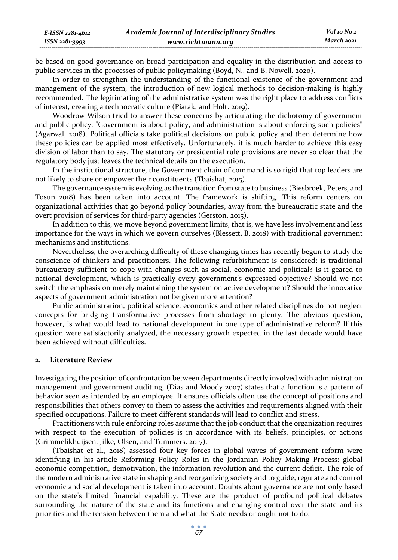be based on good governance on broad participation and equality in the distribution and access to public services in the processes of public policymaking (Boyd, N., and B. Nowell. 2020).

In order to strengthen the understanding of the functional existence of the government and management of the system, the introduction of new logical methods to decision-making is highly recommended. The legitimating of the administrative system was the right place to address conflicts of interest, creating a technocratic culture (Piatak, and Holt. 2019).

Woodrow Wilson tried to answer these concerns by articulating the dichotomy of government and public policy. "Government is about policy, and administration is about enforcing such policies" (Agarwal, 2018). Political officials take political decisions on public policy and then determine how these policies can be applied most effectively. Unfortunately, it is much harder to achieve this easy division of labor than to say. The statutory or presidential rule provisions are never so clear that the regulatory body just leaves the technical details on the execution.

In the institutional structure, the Government chain of command is so rigid that top leaders are not likely to share or empower their constituents (Tbaishat, 2015).

The governance system is evolving as the transition from state to business (Biesbroek, Peters, and Tosun. 2018) has been taken into account. The framework is shifting. This reform centers on organizational activities that go beyond policy boundaries, away from the bureaucratic state and the overt provision of services for third-party agencies (Gerston, 2015).

In addition to this, we move beyond government limits, that is, we have less involvement and less importance for the ways in which we govern ourselves (Blessett, B. 2018) with traditional government mechanisms and institutions.

Nevertheless, the overarching difficulty of these changing times has recently begun to study the conscience of thinkers and practitioners. The following refurbishment is considered: is traditional bureaucracy sufficient to cope with changes such as social, economic and political? Is it geared to national development, which is practically every government's expressed objective? Should we not switch the emphasis on merely maintaining the system on active development? Should the innovative aspects of government administration not be given more attention?

Public administration, political science, economics and other related disciplines do not neglect concepts for bridging transformative processes from shortage to plenty. The obvious question, however, is what would lead to national development in one type of administrative reform? If this question were satisfactorily analyzed, the necessary growth expected in the last decade would have been achieved without difficulties.

#### **2. Literature Review**

Investigating the position of confrontation between departments directly involved with administration management and government auditing, (Dias and Moody 2007) states that a function is a pattern of behavior seen as intended by an employee. It ensures officials often use the concept of positions and responsibilities that others convey to them to assess the activities and requirements aligned with their specified occupations. Failure to meet different standards will lead to conflict and stress.

Practitioners with rule enforcing roles assume that the job conduct that the organization requires with respect to the execution of policies is in accordance with its beliefs, principles, or actions (Grimmelikhuijsen, Jilke, Olsen, and Tummers. 2017).

(Tbaishat et al., 2018) assessed four key forces in global waves of government reform were identifying in his article Reforming Policy Roles in the Jordanian Policy Making Process: global economic competition, demotivation, the information revolution and the current deficit. The role of the modern administrative state in shaping and reorganizing society and to guide, regulate and control economic and social development is taken into account. Doubts about governance are not only based on the state's limited financial capability. These are the product of profound political debates surrounding the nature of the state and its functions and changing control over the state and its priorities and the tension between them and what the State needs or ought not to do.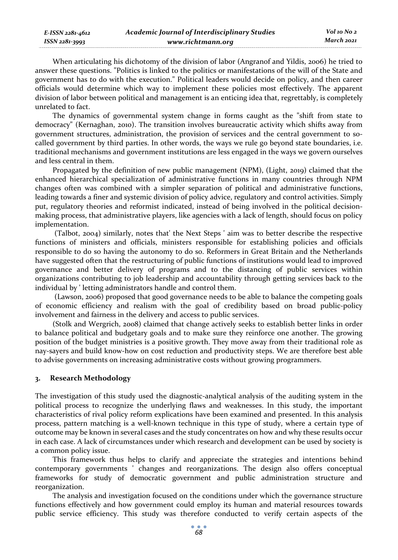When articulating his dichotomy of the division of labor (Angranof and Yildis, 2006) he tried to answer these questions. "Politics is linked to the politics or manifestations of the will of the State and government has to do with the execution." Political leaders would decide on policy, and then career officials would determine which way to implement these policies most effectively. The apparent division of labor between political and management is an enticing idea that, regrettably, is completely unrelated to fact.

The dynamics of governmental system change in forms caught as the "shift from state to democracy" (Kernaghan, 2010). The transition involves bureaucratic activity which shifts away from government structures, administration, the provision of services and the central government to socalled government by third parties. In other words, the ways we rule go beyond state boundaries, i.e. traditional mechanisms and government institutions are less engaged in the ways we govern ourselves and less central in them.

Propagated by the definition of new public management (NPM), (Light, 2019) claimed that the enhanced hierarchical specialization of administrative functions in many countries through NPM changes often was combined with a simpler separation of political and administrative functions, leading towards a finer and systemic division of policy advice, regulatory and control activities. Simply put, regulatory theories and reformist indicated, instead of being involved in the political decisionmaking process, that administrative players, like agencies with a lack of length, should focus on policy implementation.

 (Talbot, 2004) similarly, notes that' the Next Steps ' aim was to better describe the respective functions of ministers and officials, ministers responsible for establishing policies and officials responsible to do so having the autonomy to do so. Reformers in Great Britain and the Netherlands have suggested often that the restructuring of public functions of institutions would lead to improved governance and better delivery of programs and to the distancing of public services within organizations contributing to job leadership and accountability through getting services back to the individual by ' letting administrators handle and control them.

 (Lawson, 2006) proposed that good governance needs to be able to balance the competing goals of economic efficiency and realism with the goal of credibility based on broad public-policy involvement and fairness in the delivery and access to public services.

(Stolk and Wergrich, 2008) claimed that change actively seeks to establish better links in order to balance political and budgetary goals and to make sure they reinforce one another. The growing position of the budget ministries is a positive growth. They move away from their traditional role as nay-sayers and build know-how on cost reduction and productivity steps. We are therefore best able to advise governments on increasing administrative costs without growing programmers.

## **3. Research Methodology**

The investigation of this study used the diagnostic-analytical analysis of the auditing system in the political process to recognize the underlying flaws and weaknesses. In this study, the important characteristics of rival policy reform explications have been examined and presented. In this analysis process, pattern matching is a well-known technique in this type of study, where a certain type of outcome may be known in several cases and the study concentrates on how and why these results occur in each case. A lack of circumstances under which research and development can be used by society is a common policy issue.

This framework thus helps to clarify and appreciate the strategies and intentions behind contemporary governments ' changes and reorganizations. The design also offers conceptual frameworks for study of democratic government and public administration structure and reorganization.

The analysis and investigation focused on the conditions under which the governance structure functions effectively and how government could employ its human and material resources towards public service efficiency. This study was therefore conducted to verify certain aspects of the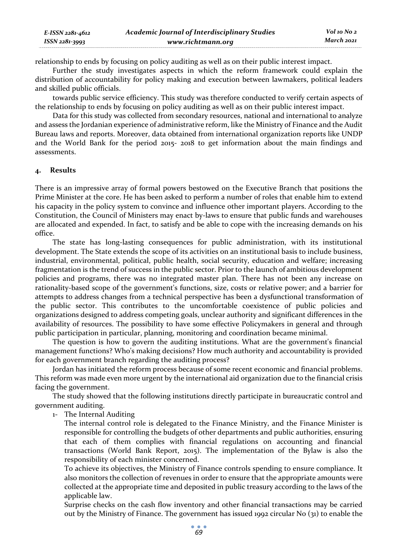| E-ISSN 2281-4612 | <b>Academic Journal of Interdisciplinary Studies</b> | Vol 10 No 2 |
|------------------|------------------------------------------------------|-------------|
| ISSN 2281-3993   | www.richtmann.org                                    | March 2021  |

relationship to ends by focusing on policy auditing as well as on their public interest impact.

Further the study investigates aspects in which the reform framework could explain the distribution of accountability for policy making and execution between lawmakers, political leaders and skilled public officials.

towards public service efficiency. This study was therefore conducted to verify certain aspects of the relationship to ends by focusing on policy auditing as well as on their public interest impact.

Data for this study was collected from secondary resources, national and international to analyze and assess the Jordanian experience of administrative reform, like the Ministry of Finance and the Audit Bureau laws and reports. Moreover, data obtained from international organization reports like UNDP and the World Bank for the period 2015- 2018 to get information about the main findings and assessments.

#### **4. Results**

There is an impressive array of formal powers bestowed on the Executive Branch that positions the Prime Minister at the core. He has been asked to perform a number of roles that enable him to extend his capacity in the policy system to convince and influence other important players. According to the Constitution, the Council of Ministers may enact by-laws to ensure that public funds and warehouses are allocated and expended. In fact, to satisfy and be able to cope with the increasing demands on his office.

The state has long-lasting consequences for public administration, with its institutional development. The State extends the scope of its activities on an institutional basis to include business, industrial, environmental, political, public health, social security, education and welfare; increasing fragmentation is the trend of success in the public sector. Prior to the launch of ambitious development policies and programs, there was no integrated master plan. There has not been any increase on rationality-based scope of the government's functions, size, costs or relative power; and a barrier for attempts to address changes from a technical perspective has been a dysfunctional transformation of the public sector. This contributes to the uncomfortable coexistence of public policies and organizations designed to address competing goals, unclear authority and significant differences in the availability of resources. The possibility to have some effective Policymakers in general and through public participation in particular, planning, monitoring and coordination became minimal.

The question is how to govern the auditing institutions. What are the government's financial management functions? Who's making decisions? How much authority and accountability is provided for each government branch regarding the auditing process?

Jordan has initiated the reform process because of some recent economic and financial problems. This reform was made even more urgent by the international aid organization due to the financial crisis facing the government.

The study showed that the following institutions directly participate in bureaucratic control and government auditing.

1- The Internal Auditing

The internal control role is delegated to the Finance Ministry, and the Finance Minister is responsible for controlling the budgets of other departments and public authorities, ensuring that each of them complies with financial regulations on accounting and financial transactions (World Bank Report, 2015). The implementation of the Bylaw is also the responsibility of each minister concerned.

To achieve its objectives, the Ministry of Finance controls spending to ensure compliance. It also monitors the collection of revenues in order to ensure that the appropriate amounts were collected at the appropriate time and deposited in public treasury according to the laws of the applicable law.

Surprise checks on the cash flow inventory and other financial transactions may be carried out by the Ministry of Finance. The government has issued 1992 circular No (31) to enable the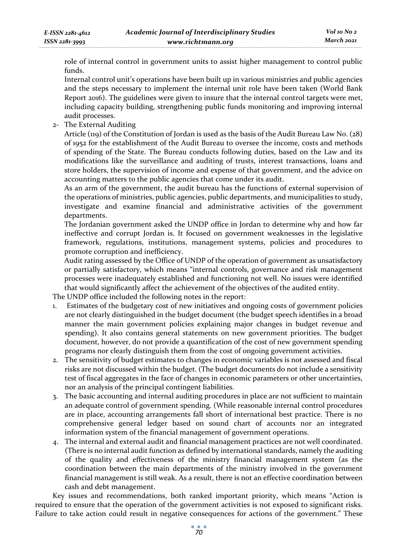role of internal control in government units to assist higher management to control public funds.

Internal control unit's operations have been built up in various ministries and public agencies and the steps necessary to implement the internal unit role have been taken (World Bank Report 2016). The guidelines were given to insure that the internal control targets were met, including capacity building, strengthening public funds monitoring and improving internal audit processes.

2- The External Auditing

Article (119) of the Constitution of Jordan is used as the basis of the Audit Bureau Law No. (28) of 1952 for the establishment of the Audit Bureau to oversee the income, costs and methods of spending of the State. The Bureau conducts following duties, based on the Law and its modifications like the surveillance and auditing of trusts, interest transactions, loans and store holders, the supervision of income and expense of that government, and the advice on accounting matters to the public agencies that come under its audit.

As an arm of the government, the audit bureau has the functions of external supervision of the operations of ministries, public agencies, public departments, and municipalities to study, investigate and examine financial and administrative activities of the government departments.

The Jordanian government asked the UNDP office in Jordan to determine why and how far ineffective and corrupt Jordan is. It focused on government weaknesses in the legislative framework, regulations, institutions, management systems, policies and procedures to promote corruption and inefficiency.

Audit rating assessed by the Office of UNDP of the operation of government as unsatisfactory or partially satisfactory, which means "internal controls, governance and risk management processes were inadequately established and functioning not well. No issues were identified that would significantly affect the achievement of the objectives of the audited entity.

The UNDP office included the following notes in the report:

- Estimates of the budgetary cost of new initiatives and ongoing costs of government policies are not clearly distinguished in the budget document (the budget speech identifies in a broad manner the main government policies explaining major changes in budget revenue and spending). It also contains general statements on new government priorities. The budget document, however, do not provide a quantification of the cost of new government spending programs nor clearly distinguish them from the cost of ongoing government activities.
- 2. The sensitivity of budget estimates to changes in economic variables is not assessed and fiscal risks are not discussed within the budget. (The budget documents do not include a sensitivity test of fiscal aggregates in the face of changes in economic parameters or other uncertainties, nor an analysis of the principal contingent liabilities.
- 3. The basic accounting and internal auditing procedures in place are not sufficient to maintain an adequate control of government spending. (While reasonable internal control procedures are in place, accounting arrangements fall short of international best practice. There is no comprehensive general ledger based on sound chart of accounts nor an integrated information system of the financial management of government operations.
- 4. The internal and external audit and financial management practices are not well coordinated. (There is no internal audit function as defined by international standards, namely the auditing of the quality and effectiveness of the ministry financial management system (as the coordination between the main departments of the ministry involved in the government financial management is still weak. As a result, there is not an effective coordination between cash and debt management.

Key issues and recommendations, both ranked important priority, which means "Action is required to ensure that the operation of the government activities is not exposed to significant risks. Failure to take action could result in negative consequences for actions of the government." These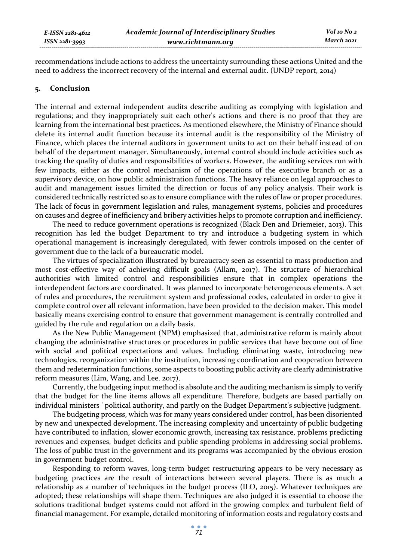*E-ISSN 2281-4612 ISSN 2281-3993* 

recommendations include actions to address the uncertainty surrounding these actions United and the need to address the incorrect recovery of the internal and external audit. (UNDP report, 2014)

#### **5. Conclusion**

The internal and external independent audits describe auditing as complying with legislation and regulations; and they inappropriately suit each other's actions and there is no proof that they are learning from the international best practices. As mentioned elsewhere, the Ministry of Finance should delete its internal audit function because its internal audit is the responsibility of the Ministry of Finance, which places the internal auditors in government units to act on their behalf instead of on behalf of the department manager. Simultaneously, internal control should include activities such as tracking the quality of duties and responsibilities of workers. However, the auditing services run with few impacts, either as the control mechanism of the operations of the executive branch or as a supervisory device, on how public administration functions. The heavy reliance on legal approaches to audit and management issues limited the direction or focus of any policy analysis. Their work is considered technically restricted so as to ensure compliance with the rules of law or proper procedures. The lack of focus in government legislation and rules, management systems, policies and procedures on causes and degree of inefficiency and bribery activities helps to promote corruption and inefficiency.

The need to reduce government operations is recognized (Black Den and Driemeier, 2013). This recognition has led the budget Department to try and introduce a budgeting system in which operational management is increasingly deregulated, with fewer controls imposed on the center of government due to the lack of a bureaucratic model.

The virtues of specialization illustrated by bureaucracy seen as essential to mass production and most cost-effective way of achieving difficult goals (Allam, 2017). The structure of hierarchical authorities with limited control and responsibilities ensure that in complex operations the interdependent factors are coordinated. It was planned to incorporate heterogeneous elements. A set of rules and procedures, the recruitment system and professional codes, calculated in order to give it complete control over all relevant information, have been provided to the decision maker. This model basically means exercising control to ensure that government management is centrally controlled and guided by the rule and regulation on a daily basis.

As the New Public Management (NPM) emphasized that, administrative reform is mainly about changing the administrative structures or procedures in public services that have become out of line with social and political expectations and values. Including eliminating waste, introducing new technologies, reorganization within the institution, increasing coordination and cooperation between them and redetermination functions, some aspects to boosting public activity are clearly administrative reform measures (Lim, Wang, and Lee. 2017).

Currently, the budgeting input method is absolute and the auditing mechanism is simply to verify that the budget for the line items allows all expenditure. Therefore, budgets are based partially on individual ministers ' political authority, and partly on the Budget Department's subjective judgment.

The budgeting process, which was for many years considered under control, has been disoriented by new and unexpected development. The increasing complexity and uncertainty of public budgeting have contributed to inflation, slower economic growth, increasing tax resistance, problems predicting revenues and expenses, budget deficits and public spending problems in addressing social problems. The loss of public trust in the government and its programs was accompanied by the obvious erosion in government budget control.

Responding to reform waves, long-term budget restructuring appears to be very necessary as budgeting practices are the result of interactions between several players. There is as much a relationship as a number of techniques in the budget process (ILO, 2015). Whatever techniques are adopted; these relationships will shape them. Techniques are also judged it is essential to choose the solutions traditional budget systems could not afford in the growing complex and turbulent field of financial management. For example, detailed monitoring of information costs and regulatory costs and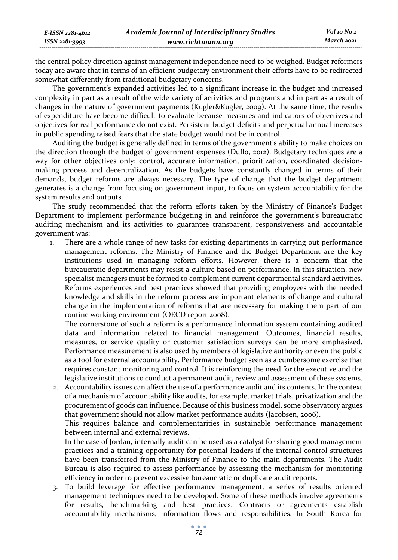*Vol 10 No 2 March 2021*

the central policy direction against management independence need to be weighed. Budget reformers today are aware that in terms of an efficient budgetary environment their efforts have to be redirected somewhat differently from traditional budgetary concerns.

The government's expanded activities led to a significant increase in the budget and increased complexity in part as a result of the wide variety of activities and programs and in part as a result of changes in the nature of government payments (Kugler&Kugler, 2009). At the same time, the results of expenditure have become difficult to evaluate because measures and indicators of objectives and objectives for real performance do not exist. Persistent budget deficits and perpetual annual increases in public spending raised fears that the state budget would not be in control.

Auditing the budget is generally defined in terms of the government's ability to make choices on the direction through the budget of government expenses (Duflo, 2012). Budgetary techniques are a way for other objectives only: control, accurate information, prioritization, coordinated decisionmaking process and decentralization. As the budgets have constantly changed in terms of their demands, budget reforms are always necessary. The type of change that the budget department generates is a change from focusing on government input, to focus on system accountability for the system results and outputs.

The study recommended that the reform efforts taken by the Ministry of Finance's Budget Department to implement performance budgeting in and reinforce the government's bureaucratic auditing mechanism and its activities to guarantee transparent, responsiveness and accountable government was:

1. There are a whole range of new tasks for existing departments in carrying out performance management reforms. The Ministry of Finance and the Budget Department are the key institutions used in managing reform efforts. However, there is a concern that the bureaucratic departments may resist a culture based on performance. In this situation, new specialist managers must be formed to complement current departmental standard activities. Reforms experiences and best practices showed that providing employees with the needed knowledge and skills in the reform process are important elements of change and cultural change in the implementation of reforms that are necessary for making them part of our routine working environment (OECD report 2008).

The cornerstone of such a reform is a performance information system containing audited data and information related to financial management. Outcomes, financial results, measures, or service quality or customer satisfaction surveys can be more emphasized. Performance measurement is also used by members of legislative authority or even the public as a tool for external accountability. Performance budget seen as a cumbersome exercise that requires constant monitoring and control. It is reinforcing the need for the executive and the legislative institutions to conduct a permanent audit, review and assessment of these systems.

2. Accountability issues can affect the use of a performance audit and its contents. In the context of a mechanism of accountability like audits, for example, market trials, privatization and the procurement of goods can influence. Because of this business model, some observatory argues that government should not allow market performance audits (Jacobsen, 2006).

This requires balance and complementarities in sustainable performance management between internal and external reviews.

In the case of Jordan, internally audit can be used as a catalyst for sharing good management practices and a training opportunity for potential leaders if the internal control structures have been transferred from the Ministry of Finance to the main departments. The Audit Bureau is also required to assess performance by assessing the mechanism for monitoring efficiency in order to prevent excessive bureaucratic or duplicate audit reports.

3. To build leverage for effective performance management, a series of results oriented management techniques need to be developed. Some of these methods involve agreements for results, benchmarking and best practices. Contracts or agreements establish accountability mechanisms, information flows and responsibilities. In South Korea for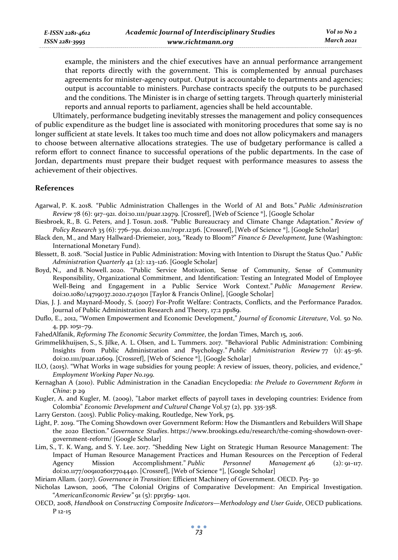example, the ministers and the chief executives have an annual performance arrangement that reports directly with the government. This is complemented by annual purchases agreements for minister-agency output. Output is accountable to departments and agencies; output is accountable to ministers. Purchase contracts specify the outputs to be purchased and the conditions. The Minister is in charge of setting targets. Through quarterly ministerial reports and annual reports to parliament, agencies shall be held accountable.

Ultimately, performance budgeting inevitably stresses the management and policy consequences of public expenditure as the budget line is associated with monitoring procedures that some say is no longer sufficient at state levels. It takes too much time and does not allow policymakers and managers to choose between alternative allocations strategies. The use of budgetary performance is called a reform effort to connect finance to successful operations of the public departments. In the case of Jordan, departments must prepare their budget request with performance measures to assess the achievement of their objectives.

### **References**

- Agarwal, P. K. 2018. "Public Administration Challenges in the World of AI and Bots." *Public Administration Review* 78 (6): 917–921. doi:10.1111/puar.12979. [Crossref], [Web of Science ®], [Google Scholar
- Biesbroek, R., B. G. Peters, and J. Tosun. 2018. "Public Bureaucracy and Climate Change Adaptation." *Review of Policy Research* 35 (6): 776–791. doi:10.1111/ropr.12316. [Crossref], [Web of Science ®], [Google Scholar]
- Black den, M., and Mary Hallward-Driemeier, 2013, "Ready to Bloom?" *Finance & Development,* June (Washington: International Monetary Fund).
- Blessett, B. 2018. "Social Justice in Public Administration: Moving with Intention to Disrupt the Status Quo." *Public Administration Quarterly* 42 (2): 123–126. [Google Scholar]
- Boyd, N., and B. Nowell. 2020. "Public Service Motivation, Sense of Community, Sense of Community Responsibility, Organizational Commitment, and Identification: Testing an Integrated Model of Employee Well-Being and Engagement in a Public Service Work Context." *Public Management Review*. doi:10.1080/14719037.2020.1740301 [Taylor & Francis Online], [Google Scholar]
- Dias, J. J. and Maynard-Moody, S. (2007) For-Profit Welfare: Contracts, Conflicts, and the Performance Paradox. Journal of Public Administration Research and Theory, 17:2 pp189.
- Duflo, E., 2012, "Women Empowerment and Economic Development," *Journal of Economic Literature*, Vol. 50 No. 4, pp. 1051–79.

FahedAlfanik, *Reforming The Economic Security Committee*, the Jordan Times, March 15, 2016.

- Grimmelikhuijsen, S., S. Jilke, A. L. Olsen, and L. Tummers. 2017. "Behavioral Public Administration: Combining Insights from Public Administration and Psychology." *Public Administration Review* 77 (1): 45–56. doi:10.1111/puar.12609. [Crossref], [Web of Science ®], [Google Scholar]
- ILO, (2015). "What Works in wage subsidies for young people: A review of issues, theory, policies, and evidence," *Employment Working Paper No.199.*
- Kernaghan A (2010). Public Administration in the Canadian Encyclopedia: *the Prelude to Government Reform in China*: p 29
- Kugler, A. and Kugler, M. (2009), "Labor market effects of payroll taxes in developing countries: Evidence from Colombia" *Economic Development and Cultural Change* Vol.57 (2), pp. 335-358.
- Larry Gerston. (2015). Public Policy-making, Routledge, New York, p5.
- Light, P. 2019. "The Coming Showdown over Government Reform: How the Dismantlers and Rebuilders Will Shape the 2020 Election." *Governance Studies*. https://www.brookings.edu/research/the-coming-showdown-overgovernment-reform/ [Google Scholar]
- Lim, S., T. K. Wang, and S. Y. Lee. 2017. "Shedding New Light on Strategic Human Resource Management: The Impact of Human Resource Management Practices and Human Resources on the Perception of Federal Agency Mission Accomplishment." *Public Personnel Management* 46 (2): 91–117. doi:10.1177/0091026017704440. [Crossref], [Web of Science ®], [Google Scholar]
- Miriam Allam. (2017). *Governance in Transition:* Efficient Machinery of Government. OECD. P15- 30
- Nicholas Lawson, 2006, "The Colonial Origins of Comparative Development: An Empirical Investigation. "*AmericanEconomic Review"* 91 (5): pp1369- 1401.
- OECD, 2008, *Handbook on Constructing Composite Indicators—Methodology and User Guide*, OECD publications. P 12-15